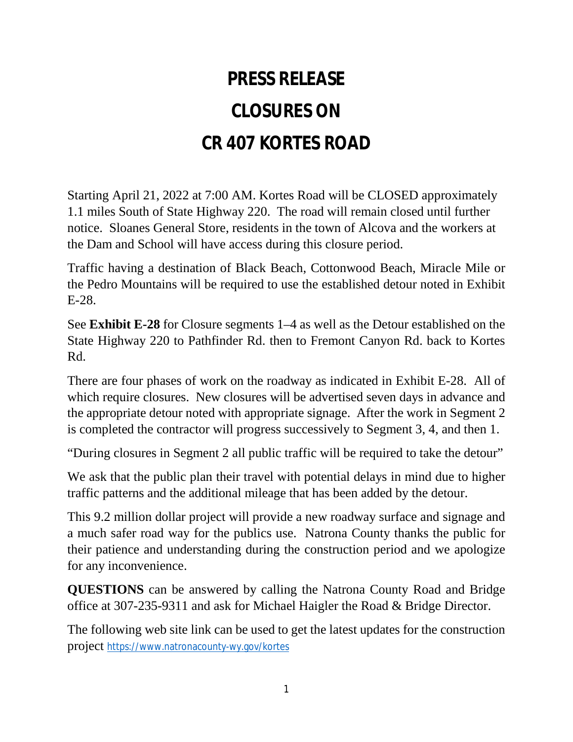## **PRESS RELEASE CLOSURES ON CR 407 KORTES ROAD**

Starting April 21, 2022 at 7:00 AM. Kortes Road will be CLOSED approximately 1.1 miles South of State Highway 220. The road will remain closed until further notice. Sloanes General Store, residents in the town of Alcova and the workers at the Dam and School will have access during this closure period.

Traffic having a destination of Black Beach, Cottonwood Beach, Miracle Mile or the Pedro Mountains will be required to use the established detour noted in Exhibit E-28.

See **Exhibit E-28** for Closure segments 1–4 as well as the Detour established on the State Highway 220 to Pathfinder Rd. then to Fremont Canyon Rd. back to Kortes Rd.

There are four phases of work on the roadway as indicated in Exhibit E-28. All of which require closures. New closures will be advertised seven days in advance and the appropriate detour noted with appropriate signage. After the work in Segment 2 is completed the contractor will progress successively to Segment 3, 4, and then 1.

"During closures in Segment 2 all public traffic will be required to take the detour"

We ask that the public plan their travel with potential delays in mind due to higher traffic patterns and the additional mileage that has been added by the detour.

This 9.2 million dollar project will provide a new roadway surface and signage and a much safer road way for the publics use. Natrona County thanks the public for their patience and understanding during the construction period and we apologize for any inconvenience.

**QUESTIONS** can be answered by calling the Natrona County Road and Bridge office at 307-235-9311 and ask for Michael Haigler the Road & Bridge Director.

The following web site link can be used to get the latest updates for the construction project https://www.natronacounty-wy.gov/kortes